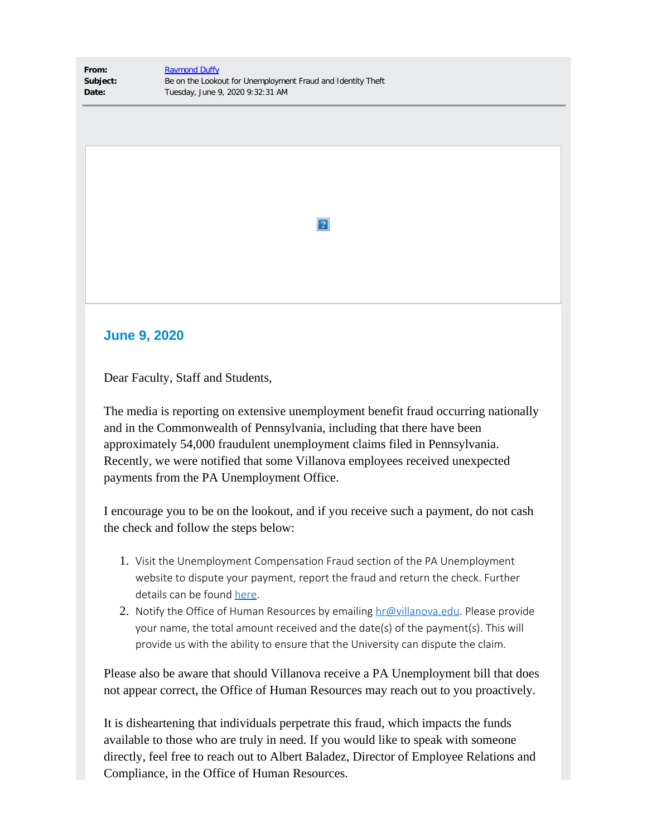**From:** [Raymond Duffy](mailto:raymond.duffy@villanova.edu) **Subject:** Be on the Lookout for Unemployment Fraud and Identity Theft **Date:** Tuesday, June 9, 2020 9:32:31 AM

## $|2|$

## **June 9, 2020**

Dear Faculty, Staff and Students,

The media is reporting on extensive unemployment benefit fraud occurring nationally and in the Commonwealth of Pennsylvania, including that there have been approximately 54,000 fraudulent unemployment claims filed in Pennsylvania. Recently, we were notified that some Villanova employees received unexpected payments from the PA Unemployment Office.

I encourage you to be on the lookout, and if you receive such a payment, do not cash the check and follow the steps below:

- 1. Visit the Unemployment Compensation Fraud section of the PA Unemployment website to dispute your payment, report the fraud and return the check. Further details can be found [here](https://nam04.safelinks.protection.outlook.com/?url=https%3A%2F%2Fwww.uc.pa.gov%2FFraud%2FPages%2Fdefault.aspx&data=02%7C01%7Ctimothy.bair%40villanova.edu%7Cc0000a36510a41ca1fb008d80c795d5a%7C765a8de5cf9444f09cafae5bf8cfa366%7C0%7C0%7C637273063508342121&sdata=45vHY0vC1zeWBuYddMfKKL7RvqbsWPvISy2nyNJX6QQ%3D&reserved=0).
- 2. Notify the Office of Human Resources by emailing  $hr@villanova.edu$ . Please provide your name, the total amount received and the date(s) of the payment(s). This will provide us with the ability to ensure that the University can dispute the claim.

Please also be aware that should Villanova receive a PA Unemployment bill that does not appear correct, the Office of Human Resources may reach out to you proactively.

It is disheartening that individuals perpetrate this fraud, which impacts the funds available to those who are truly in need. If you would like to speak with someone directly, feel free to reach out to Albert Baladez, Director of Employee Relations and Compliance, in the Office of Human Resources.